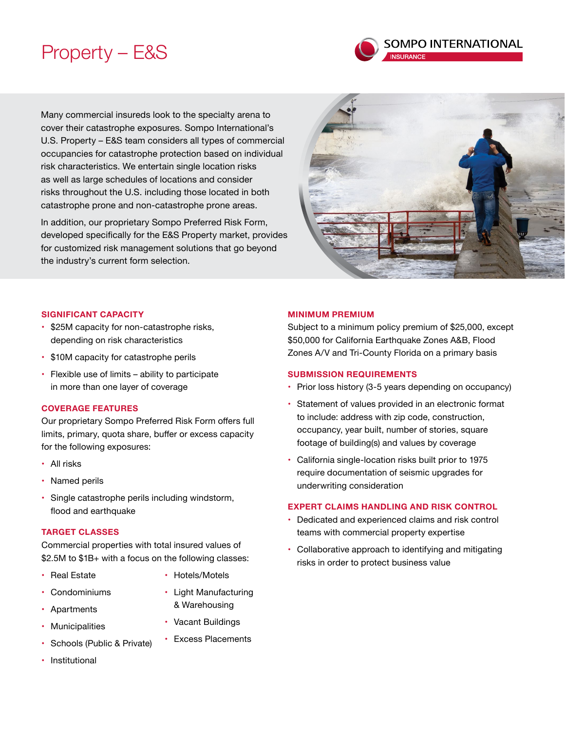# Property – E&S



Many commercial insureds look to the specialty arena to cover their catastrophe exposures. Sompo International's U.S. Property – E&S team considers all types of commercial occupancies for catastrophe protection based on individual risk characteristics. We entertain single location risks as well as large schedules of locations and consider risks throughout the U.S. including those located in both catastrophe prone and non-catastrophe prone areas.

In addition, our proprietary Sompo Preferred Risk Form, developed specifically for the E&S Property market, provides for customized risk management solutions that go beyond the industry's current form selection.



### **SIGNIFICANT CAPACITY**

- \$25M capacity for non-catastrophe risks, depending on risk characteristics
- \$10M capacity for catastrophe perils
- Flexible use of limits ability to participate in more than one layer of coverage

### **COVERAGE FEATURES**

Our proprietary Sompo Preferred Risk Form offers full limits, primary, quota share, buffer or excess capacity for the following exposures:

- All risks
- Named perils
- Single catastrophe perils including windstorm, flood and earthquake

### **TARGET CLASSES**

Commercial properties with total insured values of \$2.5M to \$1B+ with a focus on the following classes:

- • Real Estate • Hotels/Motels
- • Condominiums
- • Apartments
- Municipalities
- • Schools (Public & Private)
- Vacant Buildings • Excess Placements

• Light Manufacturing & Warehousing

**Institutional** 

### **MINIMUM PREMIUM**

Subject to a minimum policy premium of \$25,000, except \$50,000 for California Earthquake Zones A&B, Flood Zones A/V and Tri-County Florida on a primary basis

### **SUBMISSION REQUIREMENTS**

- Prior loss history (3-5 years depending on occupancy)
- Statement of values provided in an electronic format to include: address with zip code, construction, occupancy, year built, number of stories, square footage of building(s) and values by coverage
- California single-location risks built prior to 1975 require documentation of seismic upgrades for underwriting consideration

### **EXPERT CLAIMS HANDLING AND RISK CONTROL**

- • Dedicated and experienced claims and risk control teams with commercial property expertise
- Collaborative approach to identifying and mitigating risks in order to protect business value